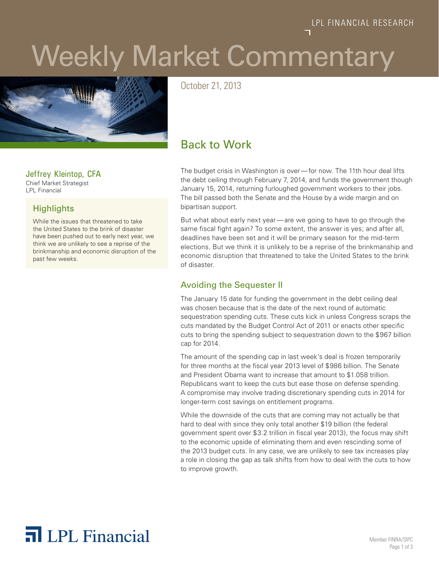# Weekly Market Commentary



October 21, 2013

## Back to Work

The budget crisis in Washington is over—for now. The 11th hour deal lifts the debt ceiling through February 7, 2014, and funds the government though January 15, 2014, returning furloughed government workers to their jobs. The bill passed both the Senate and the House by a wide margin and on bipartisan support.

But what about early next year—are we going to have to go through the same fiscal fight again? To some extent, the answer is yes; and after all, deadlines have been set and it will be primary season for the mid-term elections. But we think it is unlikely to be a reprise of the brinkmanship and economic disruption that threatened to take the United States to the brink of disaster.

#### Avoiding the Sequester II

The January 15 date for funding the government in the debt ceiling deal was chosen because that is the date of the next round of automatic sequestration spending cuts. These cuts kick in unless Congress scraps the cuts mandated by the Budget Control Act of 2011 or enacts other specific cuts to bring the spending subject to sequestration down to the \$967 billion cap for 2014.

The amount of the spending cap in last week's deal is frozen temporarily for three months at the fiscal year 2013 level of \$986 billion. The Senate and President Obama want to increase that amount to \$1.058 trillion. Republicans want to keep the cuts but ease those on defense spending. A compromise may involve trading discretionary spending cuts in 2014 for longer-term cost savings on entitlement programs.

While the downside of the cuts that are coming may not actually be that hard to deal with since they only total another \$19 billion (the federal government spent over \$3.2 trillion in fiscal year 2013), the focus may shift to the economic upside of eliminating them and even rescinding some of the 2013 budget cuts. In any case, we are unlikely to see tax increases play a role in closing the gap as talk shifts from how to deal with the cuts to how to improve growth.

### Jeffrey Kleintop, CFA

Chief Market Strategist LPL Financial

## **Highlights**

While the issues that threatened to take the United States to the brink of disaster have been pushed out to early next year, we think we are unlikely to see a reprise of the brinkmanship and economic disruption of the past few weeks.

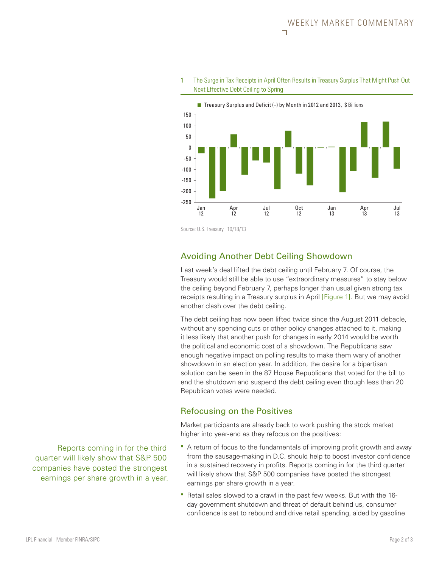

1 The Surge in Tax Receipts in April Often Results in Treasury Surplus That Might Push Out Next Effective Debt Ceiling to Spring

Source: U.S. Treasury 10/18/13

### Avoiding Another Debt Ceiling Showdown

Last week's deal lifted the debt ceiling until February 7. Of course, the Treasury would still be able to use "extraordinary measures" to stay below the ceiling beyond February 7, perhaps longer than usual given strong tax receipts resulting in a Treasury surplus in April [Figure 1]. But we may avoid another clash over the debt ceiling.

The debt ceiling has now been lifted twice since the August 2011 debacle, without any spending cuts or other policy changes attached to it, making it less likely that another push for changes in early 2014 would be worth the political and economic cost of a showdown. The Republicans saw enough negative impact on polling results to make them wary of another showdown in an election year. In addition, the desire for a bipartisan solution can be seen in the 87 House Republicans that voted for the bill to end the shutdown and suspend the debt ceiling even though less than 20 Republican votes were needed.

#### Refocusing on the Positives

Market participants are already back to work pushing the stock market higher into year-end as they refocus on the positives:

- A return of focus to the fundamentals of improving profit growth and away from the sausage-making in D.C. should help to boost investor confidence in a sustained recovery in profits. Reports coming in for the third quarter will likely show that S&P 500 companies have posted the strongest earnings per share growth in a year.
- Retail sales slowed to a crawl in the past few weeks. But with the 16 day government shutdown and threat of default behind us, consumer confidence is set to rebound and drive retail spending, aided by gasoline

Reports coming in for the third quarter will likely show that S&P 500 companies have posted the strongest earnings per share growth in a year.